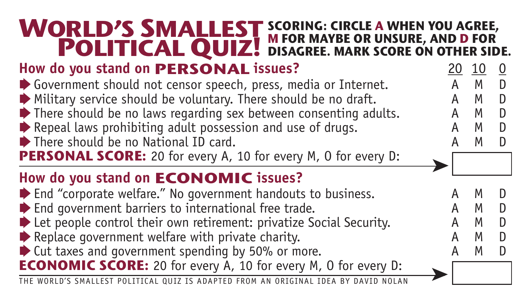## **How do you stand on <b>PERSONAL issues?**  $\frac{20}{\text{A}} \cdot \frac{10}{\text{A}} \cdot \frac{0}{\text{A}}$ ◆ Government should not censor speech, press, media or Internet. A M D<br>◆ Military service should be voluntary. There should be no draft A M D  $\triangleright$  Military service should be voluntary. There should be no draft. A M D<br> $\triangleright$  There should be no laws regarding sex between consenting adults A M D  $\blacktriangleright$  There should be no laws regarding sex between consenting adults. ➧Repeal laws prohibiting adult possession and use of drugs. A M D ➧There should be no National ID card. A M D **PERSONAL SCORE:** 20 for every A, 10 for every M, O for every D: **How do you stand on ECONOMIC issues?**  $\blacktriangleright$  End "corporate welfare." No government handouts to business.  $\blacktriangleright$  End government barriers to international free trade. ➧Let people control their own retirement: privatize Social Security. A M D ➧Replace government welfare with private charity. A M D ightharptace government welfare with private charity.<br>
■ Cut taxes and government spending by 50% or more. A M M **ECONOMIC SCORE:** 20 for every A, 10 for every M, O for every D: **WORLD'S SMALLEST PRID'S SMALLEST** SCORING: CIRCLE A WHEN YOU AGREE,<br>**POLITICAL QUIZ!** DISAGREE. MARK SCORE ON OTHER SIDE. THE WORLD'S SMALLEST POLITICAL QUIZ IS ADAPTED FROM AN ORIGINAL IDEA BY DAVID NOLAN ➤ ➤